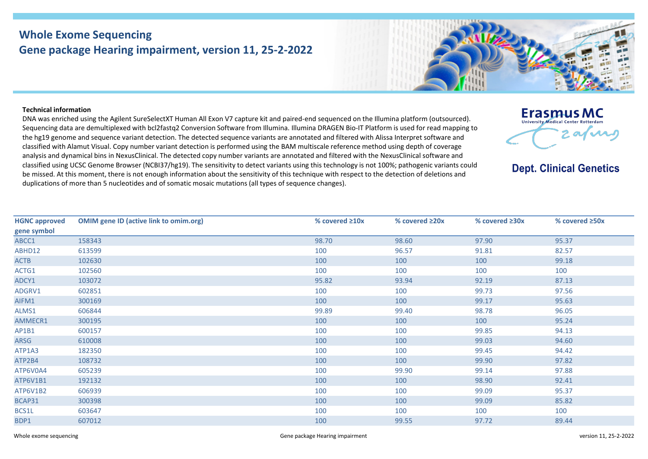## **Whole Exome Sequencing Gene package Hearing impairment, version 11, 25-2-2022**



**Erasmus MC** University Medical Center Rotterdan

**Dept. Clinical Genetics** 

 $2.01$ M

## **Technical information**

DNA was enriched using the Agilent SureSelectXT Human All Exon V7 capture kit and paired-end sequenced on the Illumina platform (outsourced). Sequencing data are demultiplexed with bcl2fastq2 Conversion Software from Illumina. Illumina DRAGEN Bio-IT Platform is used for read mapping to the hg19 genome and sequence variant detection. The detected sequence variants are annotated and filtered with Alissa Interpret software and classified with Alamut Visual. Copy number variant detection is performed using the BAM multiscale reference method using depth of coverage analysis and dynamical bins in NexusClinical. The detected copy number variants are annotated and filtered with the NexusClinical software and classified using UCSC Genome Browser (NCBI37/hg19). The sensitivity to detect variants using this technology is not 100%; pathogenic variants could be missed. At this moment, there is not enough information about the sensitivity of this technique with respect to the detection of deletions and duplications of more than 5 nucleotides and of somatic mosaic mutations (all types of sequence changes).

| <b>HGNC approved</b> | <b>OMIM gene ID (active link to omim.org)</b> | % covered $\geq 10x$ | % covered ≥20x | % covered $\geq 30x$ | % covered ≥50x |
|----------------------|-----------------------------------------------|----------------------|----------------|----------------------|----------------|
| gene symbol          |                                               |                      |                |                      |                |
| ABCC1                | 158343                                        | 98.70                | 98.60          | 97.90                | 95.37          |
| ABHD12               | 613599                                        | 100                  | 96.57          | 91.81                | 82.57          |
| <b>ACTB</b>          | 102630                                        | 100                  | 100            | 100                  | 99.18          |
| ACTG1                | 102560                                        | 100                  | 100            | 100                  | 100            |
| ADCY1                | 103072                                        | 95.82                | 93.94          | 92.19                | 87.13          |
| ADGRV1               | 602851                                        | 100                  | 100            | 99.73                | 97.56          |
| AIFM1                | 300169                                        | 100                  | 100            | 99.17                | 95.63          |
| ALMS1                | 606844                                        | 99.89                | 99.40          | 98.78                | 96.05          |
| AMMECR1              | 300195                                        | 100                  | 100            | 100                  | 95.24          |
| AP1B1                | 600157                                        | 100                  | 100            | 99.85                | 94.13          |
| ARSG                 | 610008                                        | 100                  | 100            | 99.03                | 94.60          |
| ATP1A3               | 182350                                        | 100                  | 100            | 99.45                | 94.42          |
| ATP2B4               | 108732                                        | 100                  | 100            | 99.90                | 97.82          |
| ATP6V0A4             | 605239                                        | 100                  | 99.90          | 99.14                | 97.88          |
| ATP6V1B1             | 192132                                        | 100                  | 100            | 98.90                | 92.41          |
| ATP6V1B2             | 606939                                        | 100                  | 100            | 99.09                | 95.37          |
| BCAP31               | 300398                                        | 100                  | 100            | 99.09                | 85.82          |
| BCS1L                | 603647                                        | 100                  | 100            | 100                  | 100            |
| BDP1                 | 607012                                        | 100                  | 99.55          | 97.72                | 89.44          |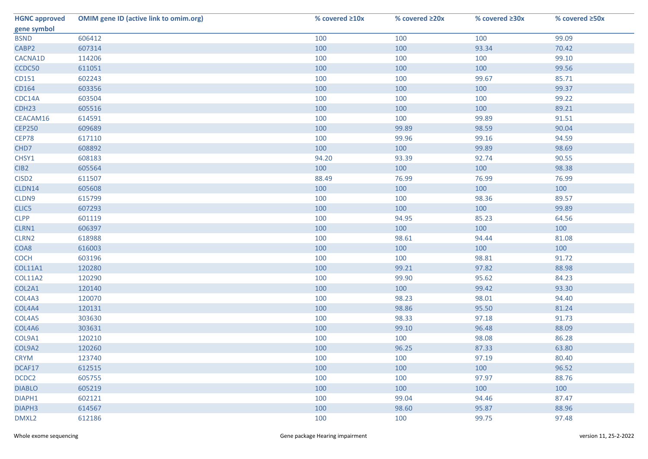| <b>HGNC approved</b> | <b>OMIM gene ID (active link to omim.org)</b> | % covered ≥10x | % covered ≥20x | % covered ≥30x | % covered ≥50x |
|----------------------|-----------------------------------------------|----------------|----------------|----------------|----------------|
| gene symbol          |                                               |                |                |                |                |
| <b>BSND</b>          | 606412                                        | 100            | 100            | 100            | 99.09          |
| CABP2                | 607314                                        | 100            | 100            | 93.34          | 70.42          |
| CACNA1D              | 114206                                        | 100            | 100            | 100            | 99.10          |
| CCDC50               | 611051                                        | 100            | 100            | 100            | 99.56          |
| CD151                | 602243                                        | 100            | 100            | 99.67          | 85.71          |
| CD164                | 603356                                        | 100            | 100            | 100            | 99.37          |
| CDC14A               | 603504                                        | 100            | 100            | 100            | 99.22          |
| CDH <sub>23</sub>    | 605516                                        | 100            | 100            | 100            | 89.21          |
| CEACAM16             | 614591                                        | 100            | 100            | 99.89          | 91.51          |
| <b>CEP250</b>        | 609689                                        | 100            | 99.89          | 98.59          | 90.04          |
| CEP78                | 617110                                        | 100            | 99.96          | 99.16          | 94.59          |
| CHD7                 | 608892                                        | 100            | 100            | 99.89          | 98.69          |
| CHSY1                | 608183                                        | 94.20          | 93.39          | 92.74          | 90.55          |
| CIB <sub>2</sub>     | 605564                                        | 100            | 100            | 100            | 98.38          |
| CISD <sub>2</sub>    | 611507                                        | 88.49          | 76.99          | 76.99          | 76.99          |
| CLDN14               | 605608                                        | 100            | 100            | 100            | 100            |
| CLDN9                | 615799                                        | 100            | 100            | 98.36          | 89.57          |
| CLIC5                | 607293                                        | 100            | 100            | 100            | 99.89          |
| <b>CLPP</b>          | 601119                                        | 100            | 94.95          | 85.23          | 64.56          |
| CLRN1                | 606397                                        | 100            | 100            | 100            | 100            |
| CLRN2                | 618988                                        | 100            | 98.61          | 94.44          | 81.08          |
| COA8                 | 616003                                        | 100            | 100            | 100            | 100            |
| <b>COCH</b>          | 603196                                        | 100            | 100            | 98.81          | 91.72          |
| <b>COL11A1</b>       | 120280                                        | 100            | 99.21          | 97.82          | 88.98          |
| <b>COL11A2</b>       | 120290                                        | 100            | 99.90          | 95.62          | 84.23          |
| COL2A1               | 120140                                        | 100            | 100            | 99.42          | 93.30          |
| COL4A3               | 120070                                        | 100            | 98.23          | 98.01          | 94.40          |
| COL4A4               | 120131                                        | 100            | 98.86          | 95.50          | 81.24          |
| COL4A5               | 303630                                        | 100            | 98.33          | 97.18          | 91.73          |
| COL4A6               | 303631                                        | 100            | 99.10          | 96.48          | 88.09          |
| COL9A1               | 120210                                        | 100            | 100            | 98.08          | 86.28          |
| COL9A2               | 120260                                        | 100            | 96.25          | 87.33          | 63.80          |
| <b>CRYM</b>          | 123740                                        | 100            | 100            | 97.19          | 80.40          |
| DCAF17               | 612515                                        | 100            | 100            | 100            | 96.52          |
| DCDC2                | 605755                                        | 100            | 100            | 97.97          | 88.76          |
| <b>DIABLO</b>        | 605219                                        | 100            | 100            | 100            | 100            |
| DIAPH1               | 602121                                        | 100            | 99.04          | 94.46          | 87.47          |
| DIAPH3               | 614567                                        | 100            | 98.60          | 95.87          | 88.96          |
| DMXL2                | 612186                                        | 100            | 100            | 99.75          | 97.48          |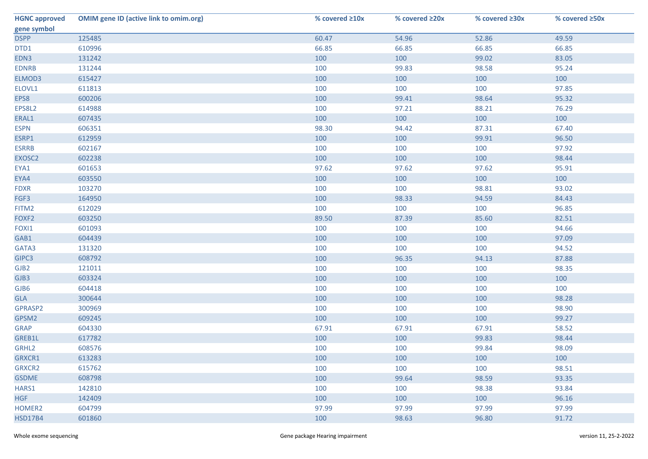| <b>HGNC approved</b> | <b>OMIM gene ID (active link to omim.org)</b> | % covered ≥10x | % covered ≥20x | % covered ≥30x | % covered ≥50x |
|----------------------|-----------------------------------------------|----------------|----------------|----------------|----------------|
| gene symbol          |                                               |                |                |                |                |
| <b>DSPP</b>          | 125485                                        | 60.47          | 54.96          | 52.86          | 49.59          |
| DTD1                 | 610996                                        | 66.85          | 66.85          | 66.85          | 66.85          |
| EDN3                 | 131242                                        | 100            | 100            | 99.02          | 83.05          |
| <b>EDNRB</b>         | 131244                                        | 100            | 99.83          | 98.58          | 95.24          |
| ELMOD3               | 615427                                        | 100            | 100            | 100            | 100            |
| ELOVL1               | 611813                                        | 100            | 100            | 100            | 97.85          |
| EPS8                 | 600206                                        | 100            | 99.41          | 98.64          | 95.32          |
| EPS8L2               | 614988                                        | 100            | 97.21          | 88.21          | 76.29          |
| ERAL1                | 607435                                        | 100            | 100            | 100            | 100            |
| <b>ESPN</b>          | 606351                                        | 98.30          | 94.42          | 87.31          | 67.40          |
| ESRP1                | 612959                                        | 100            | 100            | 99.91          | 96.50          |
| <b>ESRRB</b>         | 602167                                        | 100            | 100            | 100            | 97.92          |
| EXOSC2               | 602238                                        | 100            | 100            | 100            | 98.44          |
| EYA1                 | 601653                                        | 97.62          | 97.62          | 97.62          | 95.91          |
| EYA4                 | 603550                                        | 100            | 100            | 100            | 100            |
| <b>FDXR</b>          | 103270                                        | 100            | 100            | 98.81          | 93.02          |
| FGF3                 | 164950                                        | 100            | 98.33          | 94.59          | 84.43          |
| FITM2                | 612029                                        | 100            | 100            | 100            | 96.85          |
| FOXF <sub>2</sub>    | 603250                                        | 89.50          | 87.39          | 85.60          | 82.51          |
| FOXI1                | 601093                                        | 100            | 100            | 100            | 94.66          |
| GAB1                 | 604439                                        | 100            | 100            | 100            | 97.09          |
| GATA3                | 131320                                        | 100            | 100            | 100            | 94.52          |
| GIPC3                | 608792                                        | 100            | 96.35          | 94.13          | 87.88          |
| GJB <sub>2</sub>     | 121011                                        | 100            | 100            | 100            | 98.35          |
| GJB3                 | 603324                                        | 100            | 100            | 100            | 100            |
| GJB6                 | 604418                                        | 100            | 100            | 100            | 100            |
| GLA                  | 300644                                        | 100            | 100            | 100            | 98.28          |
| GPRASP2              | 300969                                        | 100            | 100            | 100            | 98.90          |
| GPSM2                | 609245                                        | 100            | 100            | 100            | 99.27          |
| <b>GRAP</b>          | 604330                                        | 67.91          | 67.91          | 67.91          | 58.52          |
| GREB1L               | 617782                                        | 100            | 100            | 99.83          | 98.44          |
| GRHL2                | 608576                                        | 100            | 100            | 99.84          | 98.09          |
| GRXCR1               | 613283                                        | 100            | 100            | 100            | 100            |
| GRXCR2               | 615762                                        | 100            | 100            | 100            | 98.51          |
| <b>GSDME</b>         | 608798                                        | 100            | 99.64          | 98.59          | 93.35          |
| HARS1                | 142810                                        | 100            | 100            | 98.38          | 93.84          |
| <b>HGF</b>           | 142409                                        | 100            | 100            | 100            | 96.16          |
| HOMER2               | 604799                                        | 97.99          | 97.99          | 97.99          | 97.99          |
| <b>HSD17B4</b>       | 601860                                        | 100            | 98.63          | 96.80          | 91.72          |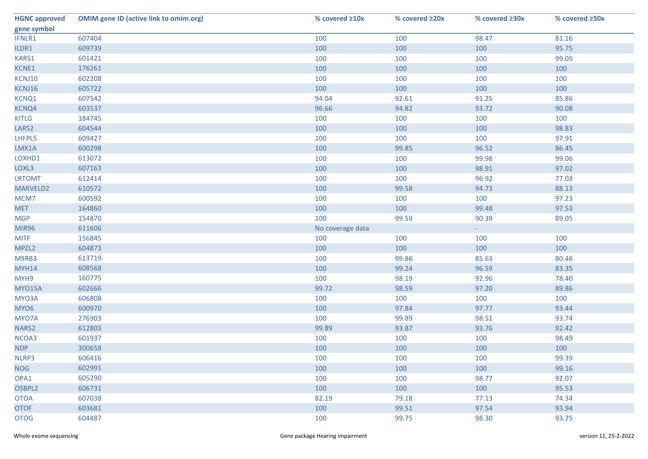| <b>HGNC approved</b> | <b>OMIM gene ID (active link to omim.org)</b> | % covered ≥10x   | % covered ≥20x | % covered ≥30x | % covered ≥50x |
|----------------------|-----------------------------------------------|------------------|----------------|----------------|----------------|
| gene symbol          |                                               |                  |                |                |                |
| IFNLR1               | 607404                                        | 100              | 100            | 98.47          | 81.16          |
| ILDR1                | 609739                                        | 100              | 100            | 100            | 95.75          |
| KARS1                | 601421                                        | 100              | 100            | 100            | 99.05          |
| KCNE1                | 176261                                        | 100              | 100            | 100            | 100            |
| KCNJ10               | 602208                                        | 100              | 100            | 100            | 100            |
| KCNJ16               | 605722                                        | 100              | 100            | 100            | 100            |
| KCNQ1                | 607542                                        | 94.04            | 92.61          | 91.25          | 85.86          |
| KCNQ4                | 603537                                        | 96.66            | 94.82          | 93.72          | 90.08          |
| <b>KITLG</b>         | 184745                                        | 100              | 100            | 100            | 100            |
| LARS <sub>2</sub>    | 604544                                        | 100              | 100            | 100            | 98.83          |
| LHFPL5               | 609427                                        | 100              | 100            | 100            | 97.91          |
| LMX1A                | 600298                                        | 100              | 99.85          | 96.52          | 86.45          |
| LOXHD1               | 613072                                        | 100              | 100            | 99.98          | 99.06          |
| LOXL3                | 607163                                        | 100              | 100            | 98.91          | 97.02          |
| <b>LRTOMT</b>        | 612414                                        | 100              | 100            | 96.92          | 77.03          |
| MARVELD2             | 610572                                        | 100              | 99.58          | 94.73          | 88.13          |
| MCM7                 | 600592                                        | 100              | 100            | 100            | 97.23          |
| <b>MET</b>           | 164860                                        | 100              | 100            | 99.48          | 97.53          |
| <b>MGP</b>           | 154870                                        | 100              | 99.59          | 90.39          | 89.05          |
| <b>MIR96</b>         | 611606                                        | No coverage data |                | $\sim 10$      |                |
| <b>MITF</b>          | 156845                                        | 100              | 100            | 100            | 100            |
| MPZL2                | 604873                                        | 100              | 100            | 100            | 100            |
| MSRB3                | 613719                                        | 100              | 99.86          | 85.63          | 80.46          |
| <b>MYH14</b>         | 608568                                        | 100              | 99.24          | 96.59          | 83.35          |
| MYH9                 | 160775                                        | 100              | 98.19          | 92.96          | 78.40          |
| MYO15A               | 602666                                        | 99.72            | 98.59          | 97.20          | 89.86          |
| MYO3A                | 606808                                        | 100              | 100            | 100            | 100            |
| MYO6                 | 600970                                        | 100              | 97.84          | 97.77          | 93.44          |
| MYO7A                | 276903                                        | 100              | 99.89          | 98.51          | 93.74          |
| NARS2                | 612803                                        | 99.89            | 93.87          | 93.76          | 92.42          |
| NCOA3                | 601937                                        | 100              | 100            | 100            | 98.49          |
| <b>NDP</b>           | 300658                                        | 100              | 100            | 100            | 100            |
| NLRP3                | 606416                                        | 100              | 100            | 100            | 99.39          |
| <b>NOG</b>           | 602991                                        | 100              | 100            | 100            | 99.16          |
| OPA1                 | 605290                                        | 100              | 100            | 98.77          | 92.07          |
| OSBPL2               | 606731                                        | 100              | 100            | 100            | 95.53          |
| <b>OTOA</b>          | 607038                                        | 82.19            | 79.18          | 77.13          | 74.34          |
| <b>OTOF</b>          | 603681                                        | 100              | 99.51          | 97.54          | 93.94          |
| <b>OTOG</b>          | 604487                                        | 100              | 99.75          | 98.30          | 93.75          |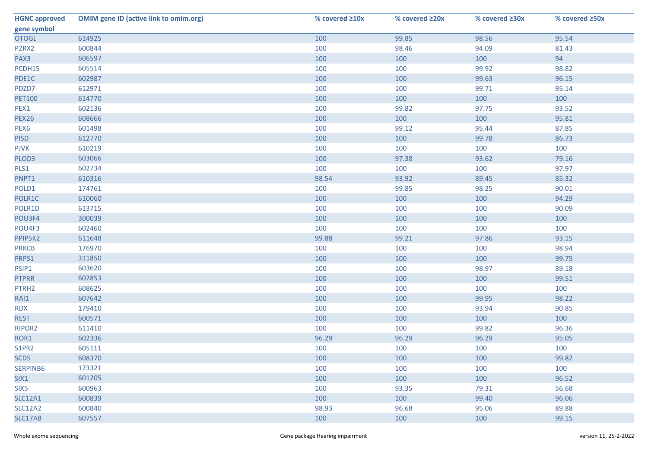| <b>HGNC approved</b>           | <b>OMIM gene ID (active link to omim.org)</b> | % covered ≥10x | % covered ≥20x | % covered ≥30x | % covered ≥50x |
|--------------------------------|-----------------------------------------------|----------------|----------------|----------------|----------------|
| gene symbol                    |                                               |                |                |                |                |
| <b>OTOGL</b>                   | 614925                                        | 100            | 99.85          | 98.56          | 95.54          |
| P <sub>2</sub> R <sub>X2</sub> | 600844                                        | 100            | 98.46          | 94.09          | 81.43          |
| PAX3                           | 606597                                        | 100            | 100            | 100            | 94             |
| PCDH15                         | 605514                                        | 100            | 100            | 99.92          | 98.82          |
| PDE1C                          | 602987                                        | 100            | 100            | 99.63          | 96.15          |
| PDZD7                          | 612971                                        | 100            | 100            | 99.71          | 95.14          |
| <b>PET100</b>                  | 614770                                        | 100            | 100            | 100            | 100            |
| PEX1                           | 602136                                        | 100            | 99.82          | 97.75          | 93.52          |
| <b>PEX26</b>                   | 608666                                        | 100            | 100            | 100            | 95.81          |
| PEX <sub>6</sub>               | 601498                                        | 100            | 99.12          | 95.44          | 87.85          |
| <b>PISD</b>                    | 612770                                        | 100            | 100            | 99.78          | 86.73          |
| <b>PJVK</b>                    | 610219                                        | 100            | 100            | 100            | 100            |
| PLOD3                          | 603066                                        | 100            | 97.38          | 93.62          | 79.16          |
| PLS1                           | 602734                                        | 100            | 100            | 100            | 97.97          |
| PNPT1                          | 610316                                        | 98.54          | 93.92          | 89.45          | 85.32          |
| POLD1                          | 174761                                        | 100            | 99.85          | 98.25          | 90.01          |
| POLR1C                         | 610060                                        | 100            | 100            | 100            | 94.29          |
| POLR1D                         | 613715                                        | 100            | 100            | 100            | 90.09          |
| POU3F4                         | 300039                                        | 100            | 100            | 100            | 100            |
| POU4F3                         | 602460                                        | 100            | 100            | 100            | 100            |
| PPIP5K2                        | 611648                                        | 99.88          | 99.21          | 97.86          | 93.15          |
| <b>PRKCB</b>                   | 176970                                        | 100            | 100            | 100            | 98.94          |
| PRPS1                          | 311850                                        | 100            | 100            | 100            | 99.75          |
| PSIP1                          | 603620                                        | 100            | 100            | 98.97          | 89.18          |
| <b>PTPRR</b>                   | 602853                                        | 100            | 100            | 100            | 99.51          |
| PTRH <sub>2</sub>              | 608625                                        | 100            | 100            | 100            | 100            |
| RAI1                           | 607642                                        | 100            | 100            | 99.95          | 98.22          |
| <b>RDX</b>                     | 179410                                        | 100            | 100            | 93.94          | 90.85          |
| <b>REST</b>                    | 600571                                        | 100            | 100            | 100            | 100            |
| RIPOR2                         | 611410                                        | 100            | 100            | 99.82          | 96.36          |
| ROR1                           | 602336                                        | 96.29          | 96.29          | 96.29          | 95.05          |
| S1PR2                          | 605111                                        | 100            | 100            | 100            | 100            |
| SCD5                           | 608370                                        | 100            | 100            | 100            | 99.82          |
| SERPINB6                       | 173321                                        | 100            | 100            | 100            | 100            |
| SIX1                           | 601205                                        | 100            | 100            | 100            | 96.52          |
| SIX5                           | 600963                                        | 100            | 93.35          | 79.31          | 56.68          |
| <b>SLC12A1</b>                 | 600839                                        | 100            | 100            | 99.40          | 96.06          |
| <b>SLC12A2</b>                 | 600840                                        | 98.93          | 96.68          | 95.06          | 89.88          |
| <b>SLC17A8</b>                 | 607557                                        | 100            | 100            | 100            | 99.15          |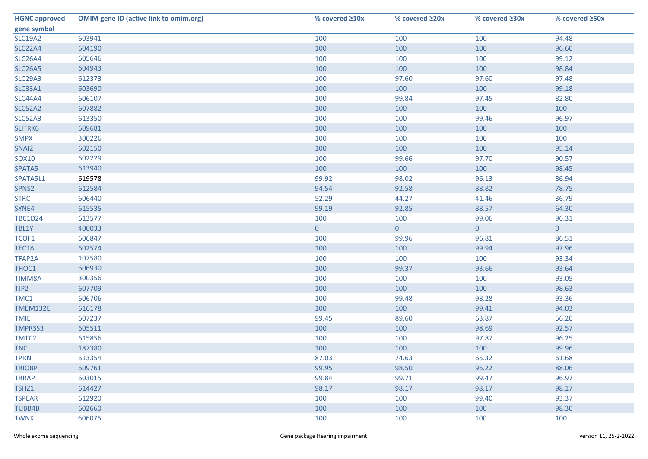| <b>HGNC approved</b> | <b>OMIM gene ID (active link to omim.org)</b> | % covered ≥10x | % covered ≥20x | % covered ≥30x | % covered ≥50x |
|----------------------|-----------------------------------------------|----------------|----------------|----------------|----------------|
| gene symbol          |                                               |                |                |                |                |
| <b>SLC19A2</b>       | 603941                                        | 100            | 100            | 100            | 94.48          |
| <b>SLC22A4</b>       | 604190                                        | 100            | 100            | 100            | 96.60          |
| <b>SLC26A4</b>       | 605646                                        | 100            | 100            | 100            | 99.12          |
| <b>SLC26A5</b>       | 604943                                        | 100            | 100            | 100            | 98.84          |
| <b>SLC29A3</b>       | 612373                                        | 100            | 97.60          | 97.60          | 97.48          |
| SLC33A1              | 603690                                        | 100            | 100            | 100            | 99.18          |
| SLC44A4              | 606107                                        | 100            | 99.84          | 97.45          | 82.80          |
| <b>SLC52A2</b>       | 607882                                        | 100            | 100            | 100            | 100            |
| SLC52A3              | 613350                                        | 100            | 100            | 99.46          | 96.97          |
| SLITRK6              | 609681                                        | 100            | 100            | 100            | 100            |
| <b>SMPX</b>          | 300226                                        | 100            | 100            | 100            | 100            |
| SNAI2                | 602150                                        | 100            | 100            | 100            | 95.14          |
| SOX10                | 602229                                        | 100            | 99.66          | 97.70          | 90.57          |
| SPATA5               | 613940                                        | 100            | 100            | 100            | 98.45          |
| SPATA5L1             | 619578                                        | 99.92          | 98.02          | 96.13          | 86.94          |
| SPNS2                | 612584                                        | 94.54          | 92.58          | 88.82          | 78.75          |
| <b>STRC</b>          | 606440                                        | 52.29          | 44.27          | 41.46          | 36.79          |
| SYNE4                | 615535                                        | 99.19          | 92.85          | 88.57          | 64.30          |
| <b>TBC1D24</b>       | 613577                                        | 100            | 100            | 99.06          | 96.31          |
| TBL1Y                | 400033                                        | $\mathbf 0$    | $\overline{0}$ | $\overline{0}$ | $\overline{0}$ |
| TCOF1                | 606847                                        | 100            | 99.96          | 96.81          | 86.51          |
| <b>TECTA</b>         | 602574                                        | 100            | 100            | 99.94          | 97.96          |
| TFAP2A               | 107580                                        | 100            | 100            | 100            | 93.34          |
| THOC1                | 606930                                        | 100            | 99.37          | 93.66          | 93.64          |
| <b>TIMM8A</b>        | 300356                                        | 100            | 100            | 100            | 93.05          |
| TJP2                 | 607709                                        | 100            | 100            | 100            | 98.63          |
| TMC1                 | 606706                                        | 100            | 99.48          | 98.28          | 93.36          |
| TMEM132E             | 616178                                        | 100            | 100            | 99.41          | 94.03          |
| <b>TMIE</b>          | 607237                                        | 99.45          | 89.60          | 63.87          | 56.20          |
| <b>TMPRSS3</b>       | 605511                                        | 100            | 100            | 98.69          | 92.57          |
| TMTC2                | 615856                                        | 100            | 100            | 97.87          | 96.25          |
| <b>TNC</b>           | 187380                                        | 100            | 100            | 100            | 99.96          |
| <b>TPRN</b>          | 613354                                        | 87.03          | 74.63          | 65.32          | 61.68          |
| <b>TRIOBP</b>        | 609761                                        | 99.95          | 98.50          | 95.22          | 88.06          |
| <b>TRRAP</b>         | 603015                                        | 99.84          | 99.71          | 99.47          | 96.97          |
| TSHZ1                | 614427                                        | 98.17          | 98.17          | 98.17          | 98.17          |
| <b>TSPEAR</b>        | 612920                                        | 100            | 100            | 99.40          | 93.37          |
| <b>TUBB4B</b>        | 602660                                        | 100            | 100            | 100            | 98.30          |
| <b>TWNK</b>          | 606075                                        | 100            | 100            | 100            | 100            |